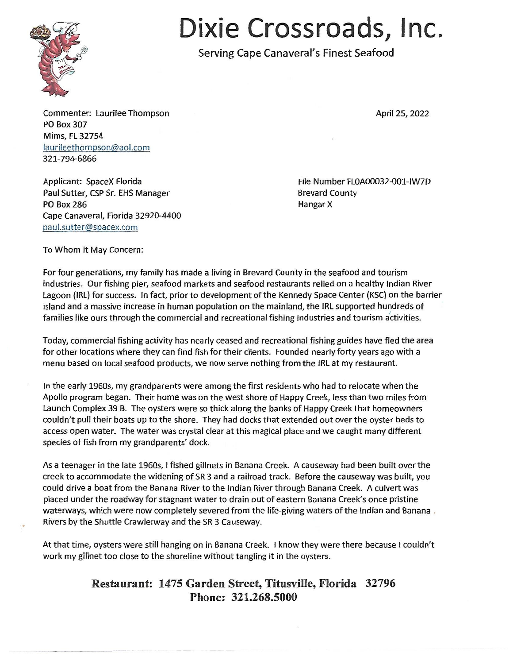

## **Dixie Crossroads, Inc.**

Serving Cape Canaveral's Finest Seafood

Commenter: Laurilee Thompson PO Box 307 Mims, FL 32754 laurileethompson@aol.com 321-794-6866

Applicant: SpaceX Florida File Number FLOA00032-001-IW7D Paul Sutter, CSP Sr. EHS Manager **Brevard County** Brevard County PO Box 286 Hangar X Cape Canaveral, Florida 32920-4400 paul.sutter@spacex.com

April 25, 2022

To Whom it May Concern:

For four generations, my family has made a living in Brevard County in the seafood and tourism industries. Our fishing pier, seafood markets and seafood restaurants relied on a healthy Indian River Lagoon (IRL) for success. In fact, prior to development of the Kennedy Space Center (KSC) on the barrier island and a massive increase in human population on the mainland, the IRL supported hundreds of families like ours through the commercial and recreational fishing industries and tourism activities.

Today, commercial fishing activity has nearly ceased and recreational fishing guides have fled the area for other locations where they can find fish for their clients. Founded nearly forty years ago with a menu based on local seafood products, we now serve nothing from the IRL at my restaurant.

In the early 1960s, my grandparents were among the first residents who had to relocate when the Apollo program began. Their home was on the west shore of Happy Creek, less than two miles from Launch Complex 39 B. The oysters were so thick along the banks of Happy Creek that homeowners couldn't pull their boats up to the shore. They had docks that extended out over the oyster beds to access open water. The water was crystal clear at this magical place and we caught many different species of fish from my grandparents' dock.

As a teenager in the late 1960s, I fished gillnets in Banana Creek. A causeway had been built over the creek to accommodate the widening of SR 3 and a railroad track. Before the causeway was built, you could drive a boat from the Banana River to the Indian River through Banana Creek. A culvert was placed under the roadway for stagnant water to drain out of eastern Banana Creek's once pristine waterways, which were now completely severed from the life-giving waters of the Indian and Banana Rivers by the Shuttle Crawlerway and the SR 3 Causeway.

At that time, oysters were still hanging on in Banana Creek. I know they were there because I couldn't work my gillnet too close to the shoreline without tangling it in the oysters.

## **Restaurant: 1475 Garden Street, Titusville, Florida 32796 Phone: 321.268.5000**